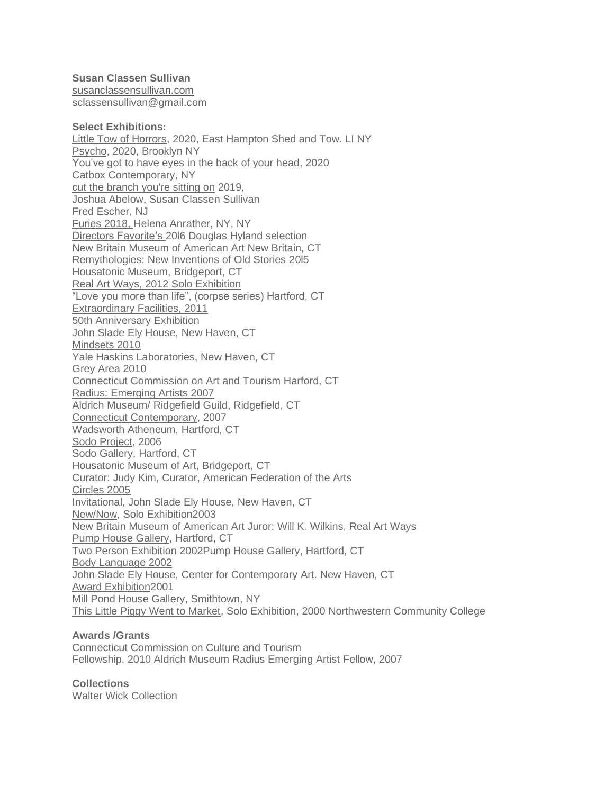**Susan Classen Sullivan** [susanclassensullivan.com](http://susanclassensullivan.com/) sclassensullivan@gmail.com

#### **Select Exhibitions:**

Little Tow of Horrors, 2020, East Hampton Shed and Tow. LI NY Psycho, 2020, Brooklyn NY You've got to have eyes in the back of your head, 2020 Catbox Contemporary, NY cut the branch you're sitting on 2019, Joshua Abelow, Susan Classen Sullivan Fred Escher, NJ Furies 2018, Helena Anrather, NY, NY Directors Favorite's 20l6 Douglas Hyland selection New Britain Museum of American Art New Britain, CT Remythologies: New Inventions of Old Stories 20l5 Housatonic Museum, Bridgeport, CT Real Art Ways, 2012 Solo Exhibition "Love you more than life", (corpse series) Hartford, CT Extraordinary Facilities, 2011 50th Anniversary Exhibition John Slade Ely House, New Haven, CT Mindsets 2010 Yale Haskins Laboratories, New Haven, CT Grey Area 2010 Connecticut Commission on Art and Tourism Harford, CT Radius: Emerging Artists 2007 Aldrich Museum/ Ridgefield Guild, Ridgefield, CT Connecticut Contemporary, 2007 Wadsworth Atheneum, Hartford, CT Sodo Project, 2006 Sodo Gallery, Hartford, CT Housatonic Museum of Art, Bridgeport, CT Curator: Judy Kim, Curator, American Federation of the Arts Circles 2005 Invitational, John Slade Ely House, New Haven, CT New/Now, Solo Exhibition2003 New Britain Museum of American Art Juror: Will K. Wilkins, Real Art Ways Pump House Gallery, Hartford, CT Two Person Exhibition 2002Pump House Gallery, Hartford, CT Body Language 2002 John Slade Ely House, Center for Contemporary Art. New Haven, CT Award Exhibition2001 Mill Pond House Gallery, Smithtown, NY This Little Piggy Went to Market, Solo Exhibition, 2000 Northwestern Community College

# **Awards /Grants**

Connecticut Commission on Culture and Tourism Fellowship, 2010 Aldrich Museum Radius Emerging Artist Fellow, 2007

#### **Collections**

Walter Wick Collection